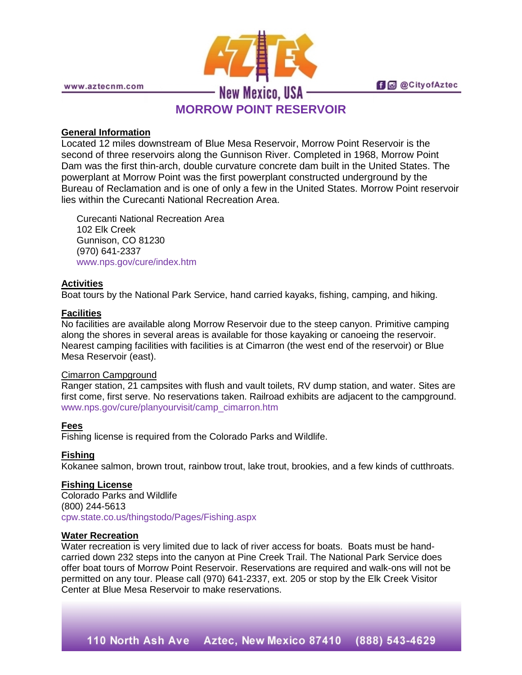

www.aztecnm.com

# **MORROW POINT RESERVOIR**

**fi** @ @ City of Aztec

### **General Information**

Located 12 miles downstream of Blue Mesa Reservoir, Morrow Point Reservoir is the second of three reservoirs along the Gunnison River. Completed in 1968, Morrow Point Dam was the first thin-arch, double curvature concrete dam built in the United States. The powerplant at Morrow Point was the first powerplant constructed underground by the Bureau of Reclamation and is one of only a few in the United States. Morrow Point reservoir lies within the Curecanti National Recreation Area.

Curecanti National Recreation Area 102 Elk Creek Gunnison, CO 81230 (970) 641-2337 [www.nps.gov/cure/index.htm](http://www.nps.gov/cure/index.htm)

## **Activities**

Boat tours by the National Park Service, hand carried kayaks, fishing, camping, and hiking.

### **Facilities**

No facilities are available along Morrow Reservoir due to the steep canyon. Primitive camping along the shores in several areas is available for those kayaking or canoeing the reservoir. Nearest camping facilities with facilities is at Cimarron (the west end of the reservoir) or Blue Mesa Reservoir (east).

### Cimarron Campground

Ranger station, 21 campsites with flush and vault toilets, RV dump station, and water. Sites are first come, first serve. No reservations taken. Railroad exhibits are adjacent to the campground. [www.nps.gov/cure/planyourvisit/camp\\_cimarron.htm](http://www.nps.gov/cure/planyourvisit/camp_cimarron.htm)

### **Fees**

Fishing license is required from the Colorado Parks and Wildlife.

### **Fishing**

Kokanee salmon, brown trout, rainbow trout, lake trout, brookies, and a few kinds of cutthroats.

### **Fishing License**

Colorado Parks and Wildlife (800) 244-5613 [cpw.state.co.us/thingstodo/Pages/Fishing.aspx](http://cpw.state.co.us/thingstodo/Pages/Fishing.aspx)

### **Water Recreation**

Water recreation is very limited due to lack of river access for boats. Boats must be handcarried down 232 steps into the canyon at Pine Creek Trail. The National Park Service does offer boat tours of Morrow Point Reservoir. Reservations are required and walk-ons will not be permitted on any tour. Please call (970) 641-2337, ext. 205 or stop by the Elk Creek Visitor Center at Blue Mesa Reservoir to make reservations.

110 North Ash Ave Aztec, New Mexico 87410 (888) 543-4629